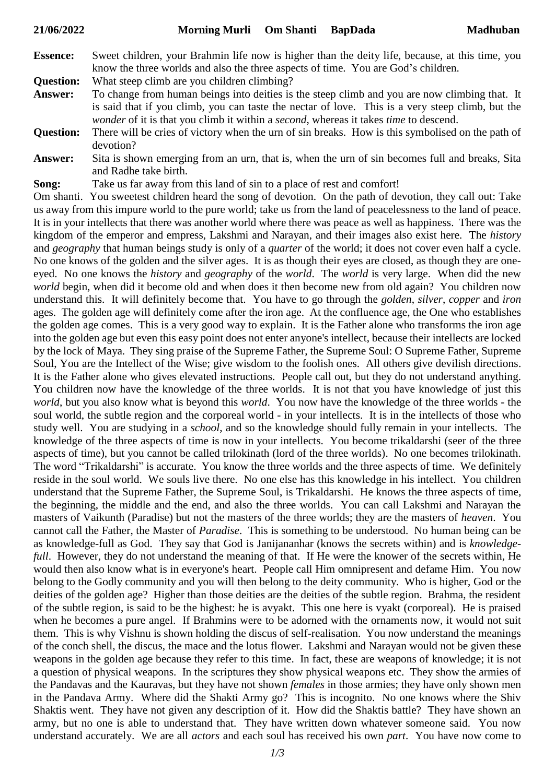| <b>Essence:</b> | Sweet children, your Brahmin life now is higher than the deity life, because, at this time, you |
|-----------------|-------------------------------------------------------------------------------------------------|
|                 | know the three worlds and also the three aspects of time. You are God's children.               |

**Question:** What steep climb are you children climbing?

- **Answer:** To change from human beings into deities is the steep climb and you are now climbing that. It is said that if you climb, you can taste the nectar of love. This is a very steep climb, but the *wonder* of it is that you climb it within a *second*, whereas it takes *time* to descend.
- **Question:** There will be cries of victory when the urn of sin breaks. How is this symbolised on the path of devotion?
- **Answer:** Sita is shown emerging from an urn, that is, when the urn of sin becomes full and breaks, Sita and Radhe take birth.
- **Song:** Take us far away from this land of sin to a place of rest and comfort!

Om shanti. You sweetest children heard the song of devotion. On the path of devotion, they call out: Take us away from this impure world to the pure world; take us from the land of peacelessness to the land of peace. It is in your intellects that there was another world where there was peace as well as happiness. There was the kingdom of the emperor and empress, Lakshmi and Narayan, and their images also exist here. The *history* and *geography* that human beings study is only of a *quarter* of the world; it does not cover even half a cycle. No one knows of the golden and the silver ages. It is as though their eyes are closed, as though they are oneeyed. No one knows the *history* and *geography* of the *world*. The *world* is very large. When did the new *world* begin, when did it become old and when does it then become new from old again? You children now understand this. It will definitely become that. You have to go through the *golden*, *silver*, *copper* and *iron* ages. The golden age will definitely come after the iron age. At the confluence age, the One who establishes the golden age comes. This is a very good way to explain. It is the Father alone who transforms the iron age into the golden age but even this easy point does not enter anyone's intellect, because their intellects are locked by the lock of Maya. They sing praise of the Supreme Father, the Supreme Soul: O Supreme Father, Supreme Soul, You are the Intellect of the Wise; give wisdom to the foolish ones. All others give devilish directions. It is the Father alone who gives elevated instructions. People call out, but they do not understand anything. You children now have the knowledge of the three worlds. It is not that you have knowledge of just this *world*, but you also know what is beyond this *world*. You now have the knowledge of the three worlds - the soul world, the subtle region and the corporeal world - in your intellects. It is in the intellects of those who study well. You are studying in a *school*, and so the knowledge should fully remain in your intellects. The knowledge of the three aspects of time is now in your intellects. You become trikaldarshi (seer of the three aspects of time), but you cannot be called trilokinath (lord of the three worlds). No one becomes trilokinath. The word "Trikaldarshi" is accurate. You know the three worlds and the three aspects of time. We definitely reside in the soul world. We souls live there. No one else has this knowledge in his intellect. You children understand that the Supreme Father, the Supreme Soul, is Trikaldarshi. He knows the three aspects of time, the beginning, the middle and the end, and also the three worlds. You can call Lakshmi and Narayan the masters of Vaikunth (Paradise) but not the masters of the three worlds; they are the masters of *heaven*. You cannot call the Father, the Master of *Paradise*. This is something to be understood. No human being can be as knowledge-full as God. They say that God is Janijananhar (knows the secrets within) and is *knowledgefull*. However, they do not understand the meaning of that. If He were the knower of the secrets within, He would then also know what is in everyone's heart. People call Him omnipresent and defame Him. You now belong to the Godly community and you will then belong to the deity community. Who is higher, God or the deities of the golden age? Higher than those deities are the deities of the subtle region. Brahma, the resident of the subtle region, is said to be the highest: he is avyakt. This one here is vyakt (corporeal). He is praised when he becomes a pure angel. If Brahmins were to be adorned with the ornaments now, it would not suit them. This is why Vishnu is shown holding the discus of self-realisation. You now understand the meanings of the conch shell, the discus, the mace and the lotus flower. Lakshmi and Narayan would not be given these weapons in the golden age because they refer to this time. In fact, these are weapons of knowledge; it is not a question of physical weapons. In the scriptures they show physical weapons etc. They show the armies of the Pandavas and the Kauravas, but they have not shown *females* in those armies; they have only shown men in the Pandava Army. Where did the Shakti Army go? This is incognito. No one knows where the Shiv Shaktis went. They have not given any description of it. How did the Shaktis battle? They have shown an army, but no one is able to understand that. They have written down whatever someone said. You now understand accurately. We are all *actors* and each soul has received his own *part*. You have now come to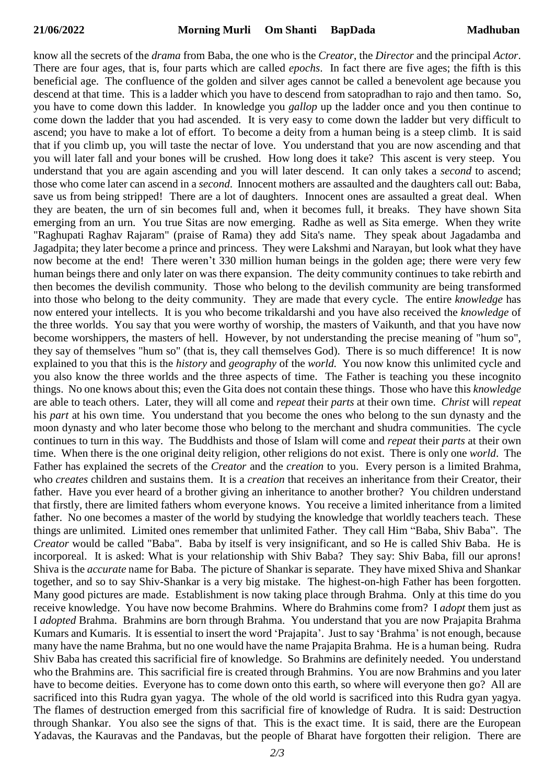know all the secrets of the *drama* from Baba, the one who is the *Creator*, the *Director* and the principal *Actor*. There are four ages, that is, four parts which are called *epochs*. In fact there are five ages; the fifth is this beneficial age. The confluence of the golden and silver ages cannot be called a benevolent age because you descend at that time. This is a ladder which you have to descend from satopradhan to rajo and then tamo. So, you have to come down this ladder. In knowledge you *gallop* up the ladder once and you then continue to come down the ladder that you had ascended. It is very easy to come down the ladder but very difficult to ascend; you have to make a lot of effort. To become a deity from a human being is a steep climb. It is said that if you climb up, you will taste the nectar of love. You understand that you are now ascending and that you will later fall and your bones will be crushed. How long does it take? This ascent is very steep. You understand that you are again ascending and you will later descend. It can only takes a *second* to ascend; those who come later can ascend in a *second*. Innocent mothers are assaulted and the daughters call out: Baba, save us from being stripped! There are a lot of daughters. Innocent ones are assaulted a great deal. When they are beaten, the urn of sin becomes full and, when it becomes full, it breaks. They have shown Sita emerging from an urn. You true Sitas are now emerging. Radhe as well as Sita emerge. When they write "Raghupati Raghav Rajaram" (praise of Rama) they add Sita's name. They speak about Jagadamba and Jagadpita; they later become a prince and princess. They were Lakshmi and Narayan, but look what they have now become at the end! There weren't 330 million human beings in the golden age; there were very few human beings there and only later on was there expansion. The deity community continues to take rebirth and then becomes the devilish community. Those who belong to the devilish community are being transformed into those who belong to the deity community. They are made that every cycle. The entire *knowledge* has now entered your intellects. It is you who become trikaldarshi and you have also received the *knowledge* of the three worlds. You say that you were worthy of worship, the masters of Vaikunth, and that you have now become worshippers, the masters of hell. However, by not understanding the precise meaning of "hum so", they say of themselves "hum so" (that is, they call themselves God). There is so much difference! It is now explained to you that this is the *history* and *geography* of the *world.* You now know this unlimited cycle and you also know the three worlds and the three aspects of time. The Father is teaching you these incognito things. No one knows about this; even the Gita does not contain these things. Those who have this *knowledge* are able to teach others. Later, they will all come and *repeat* their *parts* at their own time. *Christ* will *repeat* his *part* at his own time. You understand that you become the ones who belong to the sun dynasty and the moon dynasty and who later become those who belong to the merchant and shudra communities. The cycle continues to turn in this way. The Buddhists and those of Islam will come and *repeat* their *parts* at their own time. When there is the one original deity religion, other religions do not exist. There is only one *world*. The Father has explained the secrets of the *Creator* and the *creation* to you. Every person is a limited Brahma, who *creates* children and sustains them. It is a *creation* that receives an inheritance from their Creator, their father. Have you ever heard of a brother giving an inheritance to another brother? You children understand that firstly, there are limited fathers whom everyone knows. You receive a limited inheritance from a limited father. No one becomes a master of the world by studying the knowledge that worldly teachers teach. These things are unlimited. Limited ones remember that unlimited Father. They call Him "Baba, Shiv Baba". The *Creator* would be called "Baba". Baba by itself is very insignificant, and so He is called Shiv Baba. He is incorporeal. It is asked: What is your relationship with Shiv Baba? They say: Shiv Baba, fill our aprons! Shiva is the *accurate* name for Baba. The picture of Shankar is separate. They have mixed Shiva and Shankar together, and so to say Shiv-Shankar is a very big mistake. The highest-on-high Father has been forgotten. Many good pictures are made. Establishment is now taking place through Brahma. Only at this time do you receive knowledge. You have now become Brahmins. Where do Brahmins come from? I *adopt* them just as I *adopted* Brahma. Brahmins are born through Brahma. You understand that you are now Prajapita Brahma Kumars and Kumaris. It is essential to insert the word 'Prajapita'. Just to say 'Brahma' is not enough, because many have the name Brahma, but no one would have the name Prajapita Brahma. He is a human being. Rudra Shiv Baba has created this sacrificial fire of knowledge. So Brahmins are definitely needed. You understand who the Brahmins are. This sacrificial fire is created through Brahmins. You are now Brahmins and you later have to become deities. Everyone has to come down onto this earth, so where will everyone then go? All are sacrificed into this Rudra gyan yagya. The whole of the old world is sacrificed into this Rudra gyan yagya. The flames of destruction emerged from this sacrificial fire of knowledge of Rudra. It is said: Destruction through Shankar. You also see the signs of that. This is the exact time. It is said, there are the European Yadavas, the Kauravas and the Pandavas, but the people of Bharat have forgotten their religion. There are